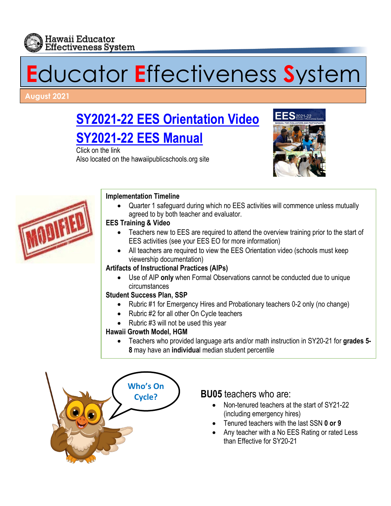

# **E**ducator **E**ffectiveness **S**ystem

#### **August 2021**

## **SY2021-22 [EES Orientation Video](https://vimeo.com/575119648) SY2021-22 [EES Manual](http://www.hawaiipublicschools.org/DOE%20Forms/Educator%20Effectivness/EESManual.pdf)**

Click on the link Also located on the hawaiipublicschools.org site





#### **Implementation Timeline**

• Quarter 1 safeguard during which no EES activities will commence unless mutually agreed to by both teacher and evaluator.

#### **EES Training & Video**

- Teachers new to EES are required to attend the overview training prior to the start of EES activities (see your EES EO for more information)
- All teachers are required to view the EES Orientation video (schools must keep viewership documentation)

#### **Artifacts of Instructional Practices (AIPs)**

• Use of AIP **only** when Formal Observations cannot be conducted due to unique circumstances

#### **Student Success Plan, SSP**

- Rubric #1 for Emergency Hires and Probationary teachers 0-2 only (no change)
- Rubric #2 for all other On Cycle teachers
- Rubric #3 will not be used this year

#### **Hawaii Growth Model, HGM**

• Teachers who provided language arts and/or math instruction in SY20-21 for **grades 5- 8** may have an **individua**l median student percentile



- (including emergency hires)
- Tenured teachers with the last SSN **0 or 9**
- Any teacher with a No EES Rating or rated Less than Effective for SY20-21